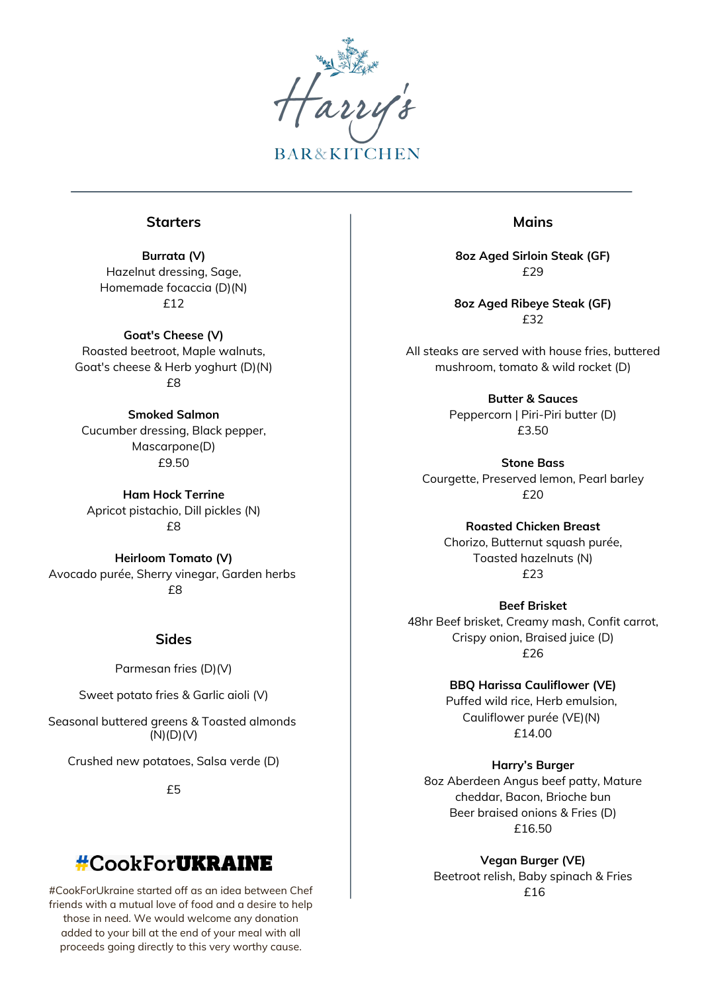

#### **Starters**

**Burrata (V)** Hazelnut dressing, Sage, Homemade focaccia (D)(N) £12

**Goat's Cheese (V)** Roasted beetroot, Maple walnuts, Goat's cheese & Herb yoghurt (D)(N) £8

**Smoked Salmon** Cucumber dressing, Black pepper, Mascarpone(D) £9.50

**Ham Hock Terrine** Apricot pistachio, Dill pickles (N) £8

**Heirloom Tomato (V)** Avocado purée, Sherry vinegar, Garden herbs £8

### **Sides**

Parmesan fries (D)(V)

Sweet potato fries & Garlic aioli (V)

Seasonal buttered greens & Toasted almonds (N)(D)(V)

Crushed new potatoes, Salsa verde (D)

£5

# **#CookForUKRAINE**

#CookForUkraine started off as an idea between Chef  $\qquad \qquad \qquad$   $\qquad \qquad$   $\qquad \qquad$  £16 friends with a mutual love of food and a desire to help those in need. We would welcome any donation added to your bill at the end of your meal with all proceeds going directly to this very worthy cause.

### **Mains**

**8oz Aged Sirloin Steak (GF)** £29

**8oz Aged Ribeye Steak (GF)** £32

All steaks are served with house fries, buttered mushroom, tomato & wild rocket (D)

> **Butter & Sauces** Peppercorn | Piri-Piri butter (D) £3.50

**Stone Bass** Courgette, Preserved lemon, Pearl barley £20

**Roasted Chicken Breast** Chorizo, Butternut squash purée, Toasted hazelnuts (N) £23

**Beef Brisket** 48hr Beef brisket, Creamy mash, Confit carrot, Crispy onion, Braised juice (D) £26

> **BBQ Harissa Cauliflower (VE)** Puffed wild rice, Herb emulsion, Cauliflower purée (VE)(N) £14.00

**Harry's Burger** 8oz Aberdeen Angus beef patty, Mature cheddar, Bacon, Brioche bun Beer braised onions & Fries (D) £16.50

**Vegan Burger (VE)** Beetroot relish, Baby spinach & Fries